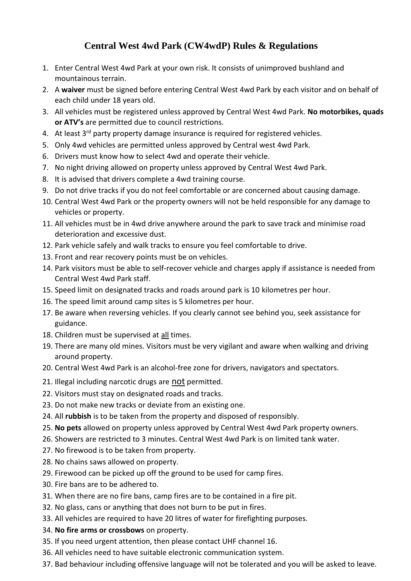## **Central West 4wd Park (CW4wdP) Rules & Regulations**

- 1. Enter Central West 4wd Park at your own risk. It consists of unimproved bushland and mountainous terrain.
- 2. A **waiver** must be signed before entering Central West 4wd Park by each visitor and on behalf of each child under 18 years old.
- 3. All vehicles must be registered unless approved by Central West 4wd Park. **No motorbikes, quads or ATV's** are permitted due to council restrictions.
- 4. At least  $3<sup>rd</sup>$  party property damage insurance is required for registered vehicles.
- 5. Only 4wd vehicles are permitted unless approved by Central west 4wd Park.
- 6. Drivers must know how to select 4wd and operate their vehicle.
- 7. No night driving allowed on property unless approved by Central West 4wd Park.
- 8. It is advised that drivers complete a 4wd training course.
- 9. Do not drive tracks if you do not feel comfortable or are concerned about causing damage.
- 10. Central West 4wd Park or the property owners will not be held responsible for any damage to vehicles or property.
- 11. All vehicles must be in 4wd drive anywhere around the park to save track and minimise road deterioration and excessive dust.
- 12. Park vehicle safely and walk tracks to ensure you feel comfortable to drive.
- 13. Front and rear recovery points must be on vehicles.
- 14. Park visitors must be able to self-recover vehicle and charges apply if assistance is needed from Central West 4wd Park staff.
- 15. Speed limit on designated tracks and roads around park is 10 kilometres per hour.
- 16. The speed limit around camp sites is 5 kilometres per hour.
- 17. Be aware when reversing vehicles. If you clearly cannot see behind you, seek assistance for guidance.
- 18. Children must be supervised at all times.
- 19. There are many old mines. Visitors must be very vigilant and aware when walking and driving around property.
- 20. Central West 4wd Park is an alcohol-free zone for drivers, navigators and spectators.
- 21. Illegal including narcotic drugs are not permitted.
- 22. Visitors must stay on designated roads and tracks.
- 23. Do not make new tracks or deviate from an existing one.
- 24. All **rubbish** is to be taken from the property and disposed of responsibly.
- 25. **No pets** allowed on property unless approved by Central West 4wd Park property owners.
- 26. Showers are restricted to 3 minutes. Central West 4wd Park is on limited tank water.
- 27. No firewood is to be taken from property.
- 28. No chains saws allowed on property.
- 29. Firewood can be picked up off the ground to be used for camp fires.
- 30. Fire bans are to be adhered to.
- 31. When there are no fire bans, camp fires are to be contained in a fire pit.
- 32. No glass, cans or anything that does not burn to be put in fires.
- 33. All vehicles are required to have 20 litres of water for firefighting purposes.
- 34. **No fire arms or crossbows** on property.
- 35. If you need urgent attention, then please contact UHF channel 16.
- 36. All vehicles need to have suitable electronic communication system.
- 37. Bad behaviour including offensive language will not be tolerated and you will be asked to leave.